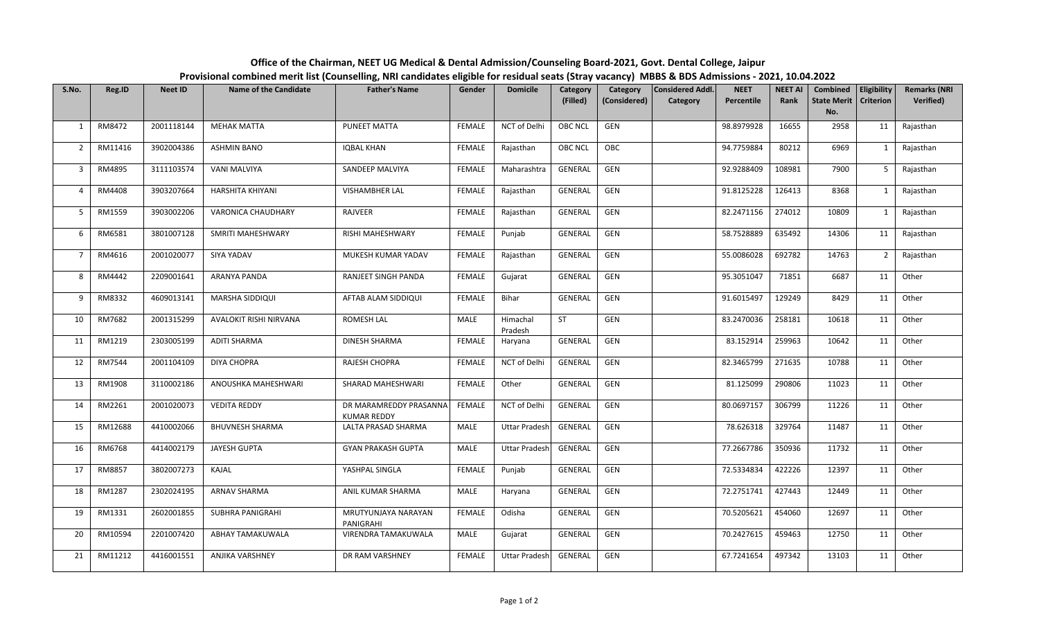| Office of the Chairman, NEET UG Medical & Dental Admission/Counseling Board-2021, Govt. Dental College, Jaipur                                    |
|---------------------------------------------------------------------------------------------------------------------------------------------------|
| Provisional combined merit list (Counselling, NRI candidates eligible for residual seats (Stray vacancy) MBBS & BDS Admissions - 2021, 10.04.2022 |

| S.No.          | Reg.ID  | <b>Neet ID</b> | <b>Provisional communications including</b> componing in the candidates engine to<br><b>Name of the Candidate</b> | <b>Father's Name</b>                         | Gender        | .<br><b>Domicile</b> | Category       | $\sim$ (stray vacancy) in BBS $\alpha$<br>Category | <b>Considered Addl.</b> | <b>NEET</b> | <b>NEET AI</b> | Combined   Eligibility  |                | <b>Remarks (NRI</b> |
|----------------|---------|----------------|-------------------------------------------------------------------------------------------------------------------|----------------------------------------------|---------------|----------------------|----------------|----------------------------------------------------|-------------------------|-------------|----------------|-------------------------|----------------|---------------------|
|                |         |                |                                                                                                                   |                                              |               |                      | (Filled)       | (Considered)                                       | Category                | Percentile  | Rank           | State Merit   Criterion |                | <b>Verified)</b>    |
|                |         |                |                                                                                                                   |                                              |               |                      |                |                                                    |                         |             |                | No.                     |                |                     |
| $\mathbf{1}$   | RM8472  | 2001118144     | <b>MEHAK MATTA</b>                                                                                                | PUNEET MATTA                                 | <b>FEMALE</b> | NCT of Delhi         | OBC NCL        | GEN                                                |                         | 98.8979928  | 16655          | 2958                    | 11             | Rajasthan           |
| $\overline{2}$ | RM11416 | 3902004386     | <b>ASHMIN BANO</b>                                                                                                | <b>IQBAL KHAN</b>                            | FEMALE        | Rajasthan            | <b>OBC NCL</b> | OBC                                                |                         | 94.7759884  | 80212          | 6969                    | $\mathbf{1}$   | Rajasthan           |
| $\mathbf{3}$   | RM4895  | 3111103574     | VANI MALVIYA                                                                                                      | SANDEEP MALVIYA                              | FEMALE        | Maharashtra          | GENERAL        | GEN                                                |                         | 92.9288409  | 108981         | 7900                    | 5              | Rajasthan           |
| $\overline{4}$ | RM4408  | 3903207664     | HARSHITA KHIYANI                                                                                                  | <b>VISHAMBHER LAL</b>                        | FEMALE        | Rajasthan            | <b>GENERAL</b> | GEN                                                |                         | 91.8125228  | 126413         | 8368                    | $\mathbf{1}$   | Rajasthan           |
| 5              | RM1559  | 3903002206     | VARONICA CHAUDHARY                                                                                                | RAJVEER                                      | FEMALE        | Rajasthan            | GENERAL        | GEN                                                |                         | 82.2471156  | 274012         | 10809                   | $\mathbf{1}$   | Rajasthan           |
| 6              | RM6581  | 3801007128     | SMRITI MAHESHWARY                                                                                                 | RISHI MAHESHWARY                             | <b>FEMALE</b> | Punjab               | <b>GENERAL</b> | GEN                                                |                         | 58.7528889  | 635492         | 14306                   | 11             | Rajasthan           |
| $\overline{7}$ | RM4616  | 2001020077     | SIYA YADAV                                                                                                        | MUKESH KUMAR YADAV                           | FEMALE        | Rajasthan            | GENERAL        | GEN                                                |                         | 55.0086028  | 692782         | 14763                   | $\overline{2}$ | Rajasthan           |
| 8              | RM4442  | 2209001641     | ARANYA PANDA                                                                                                      | RANJEET SINGH PANDA                          | FEMALE        | Gujarat              | <b>GENERAL</b> | GEN                                                |                         | 95.3051047  | 71851          | 6687                    | 11             | Other               |
| 9              | RM8332  | 4609013141     | MARSHA SIDDIQUI                                                                                                   | AFTAB ALAM SIDDIQUI                          | <b>FEMALE</b> | Bihar                | GENERAL        | GEN                                                |                         | 91.6015497  | 129249         | 8429                    | 11             | Other               |
| 10             | RM7682  | 2001315299     | AVALOKIT RISHI NIRVANA                                                                                            | ROMESH LAL                                   | MALE          | Himachal<br>Pradesh  | ST             | ${\sf GEN}$                                        |                         | 83.2470036  | 258181         | 10618                   | 11             | Other               |
| 11             | RM1219  | 2303005199     | ADITI SHARMA                                                                                                      | <b>DINESH SHARMA</b>                         | FEMALE        | Haryana              | GENERAL        | GEN                                                |                         | 83.152914   | 259963         | 10642                   | 11             | Other               |
| 12             | RM7544  | 2001104109     | <b>DIYA CHOPRA</b>                                                                                                | RAJESH CHOPRA                                | FEMALE        | NCT of Delhi         | GENERAL        | ${\sf GEN}$                                        |                         | 82.3465799  | 271635         | 10788                   | 11             | Other               |
| 13             | RM1908  | 3110002186     | ANOUSHKA MAHESHWARI                                                                                               | SHARAD MAHESHWARI                            | FEMALE        | Other                | GENERAL        | GEN                                                |                         | 81.125099   | 290806         | 11023                   | 11             | Other               |
| 14             | RM2261  | 2001020073     | <b>VEDITA REDDY</b>                                                                                               | DR MARAMREDDY PRASANNA<br><b>KUMAR REDDY</b> | FEMALE        | NCT of Delhi         | GENERAL        | GEN                                                |                         | 80.0697157  | 306799         | 11226                   | 11             | Other               |
| 15             | RM12688 | 4410002066     | <b>BHUVNESH SHARMA</b>                                                                                            | LALTA PRASAD SHARMA                          | MALE          | <b>Uttar Pradesh</b> | GENERAL        | GEN                                                |                         | 78.626318   | 329764         | 11487                   | 11             | Other               |
| 16             | RM6768  | 4414002179     | JAYESH GUPTA                                                                                                      | <b>GYAN PRAKASH GUPTA</b>                    | MALE          | <b>Uttar Pradesh</b> | GENERAL        | GEN                                                |                         | 77.2667786  | 350936         | 11732                   | 11             | Other               |
| 17             | RM8857  | 3802007273     | KAJAL                                                                                                             | YASHPAL SINGLA                               | FEMALE        | Punjab               | <b>GENERAL</b> | GEN                                                |                         | 72.5334834  | 422226         | 12397                   | 11             | Other               |
| 18             | RM1287  | 2302024195     | ARNAV SHARMA                                                                                                      | ANIL KUMAR SHARMA                            | MALE          | Haryana              | GENERAL        | ${\sf GEN}$                                        |                         | 72.2751741  | 427443         | 12449                   | 11             | Other               |
| 19             | RM1331  | 2602001855     | SUBHRA PANIGRAHI                                                                                                  | MRUTYUNJAYA NARAYAN<br>PANIGRAHI             | FEMALE        | Odisha               | GENERAL        | GEN                                                |                         | 70.5205621  | 454060         | 12697                   | 11             | Other               |
| 20             | RM10594 | 2201007420     | ABHAY TAMAKUWALA                                                                                                  | VIRENDRA TAMAKUWALA                          | MALE          | Gujarat              | <b>GENERAL</b> | GEN                                                |                         | 70.2427615  | 459463         | 12750                   | 11             | Other               |
| 21             | RM11212 | 4416001551     | ANJIKA VARSHNEY                                                                                                   | DR RAM VARSHNEY                              | FEMALE        | <b>Uttar Pradesh</b> | GENERAL        | GEN                                                |                         | 67.7241654  | 497342         | 13103                   | 11             | Other               |